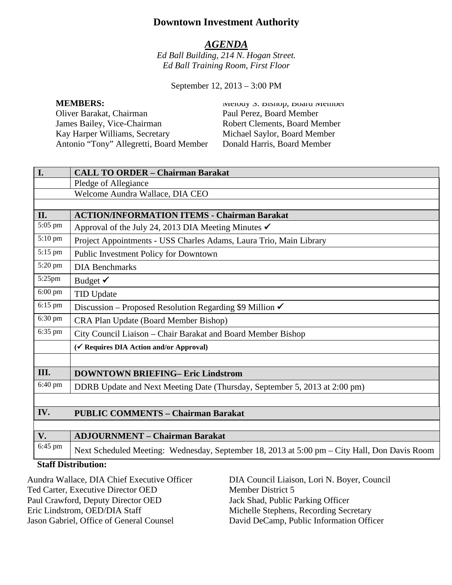# **Downtown Investment Authority**

## *AGENDA*

*Ed Ball Building, 214 N. Hogan Street. Ed Ball Training Room, First Floor* 

September 12, 2013 – 3:00 PM

Oliver Barakat, Chairman Paul Perez, Board Member James Bailey, Vice-Chairman Robert Clements, Board Member<br>
Kay Harper Williams, Secretary Michael Saylor, Board Member Kay Harper Williams, Secretary Michael Saylor, Board Member<br>Antonio "Tony" Allegretti, Board Member Donald Harris, Board Member Antonio "Tony" Allegretti, Board Member

**MEMBERS:** MEMBERS: MEMBERS: MEMBERS:

| I.        | <b>CALL TO ORDER - Chairman Barakat</b>                                                      |
|-----------|----------------------------------------------------------------------------------------------|
|           | Pledge of Allegiance                                                                         |
|           | Welcome Aundra Wallace, DIA CEO                                                              |
|           |                                                                                              |
| II.       | <b>ACTION/INFORMATION ITEMS - Chairman Barakat</b>                                           |
| 5:05 pm   | Approval of the July 24, 2013 DIA Meeting Minutes $\checkmark$                               |
| 5:10 pm   | Project Appointments - USS Charles Adams, Laura Trio, Main Library                           |
| 5:15 pm   | Public Investment Policy for Downtown                                                        |
| 5:20 pm   | <b>DIA Benchmarks</b>                                                                        |
| 5:25pm    | Budget $\checkmark$                                                                          |
| $6:00$ pm | <b>TID Update</b>                                                                            |
| 6:15 pm   | Discussion – Proposed Resolution Regarding \$9 Million $\checkmark$                          |
| 6:30 pm   | CRA Plan Update (Board Member Bishop)                                                        |
| 6:35 pm   | City Council Liaison - Chair Barakat and Board Member Bishop                                 |
|           | (√ Requires DIA Action and/or Approval)                                                      |
|           |                                                                                              |
| III.      | <b>DOWNTOWN BRIEFING- Eric Lindstrom</b>                                                     |
| 6:40 pm   | DDRB Update and Next Meeting Date (Thursday, September 5, 2013 at 2:00 pm)                   |
|           |                                                                                              |
| IV.       | <b>PUBLIC COMMENTS - Chairman Barakat</b>                                                    |
|           |                                                                                              |
| V.        | <b>ADJOURNMENT - Chairman Barakat</b>                                                        |
| 6:45 pm   | Next Scheduled Meeting: Wednesday, September 18, 2013 at 5:00 pm – City Hall, Don Davis Room |

### **Staff Distribution:**

Aundra Wallace, DIA Chief Executive Officer Ted Carter, Executive Director OED Paul Crawford, Deputy Director OED Eric Lindstrom, OED/DIA Staff Jason Gabriel, Office of General Counsel

DIA Council Liaison, Lori N. Boyer, Council Member District 5 Jack Shad, Public Parking Officer Michelle Stephens, Recording Secretary David DeCamp, Public Information Officer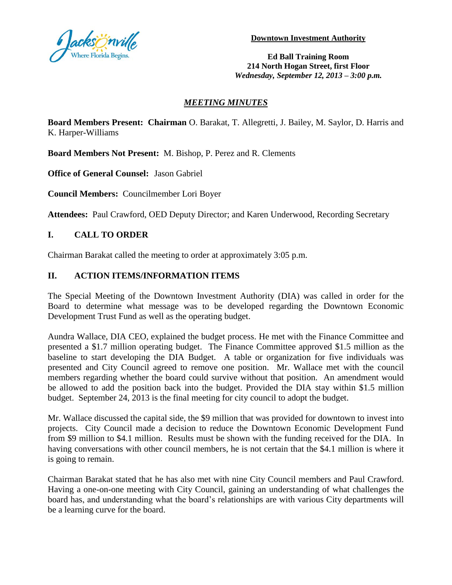

**Downtown Investment Authority**

**Ed Ball Training Room 214 North Hogan Street, first Floor** *Wednesday, September 12, 2013 – 3:00 p.m.*

### *MEETING MINUTES*

**Board Members Present: Chairman** O. Barakat, T. Allegretti, J. Bailey, M. Saylor, D. Harris and K. Harper-Williams

**Board Members Not Present:** M. Bishop, P. Perez and R. Clements

**Office of General Counsel:** Jason Gabriel

**Council Members:** Councilmember Lori Boyer

**Attendees:** Paul Crawford, OED Deputy Director; and Karen Underwood, Recording Secretary

## **I. CALL TO ORDER**

Chairman Barakat called the meeting to order at approximately 3:05 p.m.

## **II. ACTION ITEMS/INFORMATION ITEMS**

The Special Meeting of the Downtown Investment Authority (DIA) was called in order for the Board to determine what message was to be developed regarding the Downtown Economic Development Trust Fund as well as the operating budget.

Aundra Wallace, DIA CEO, explained the budget process. He met with the Finance Committee and presented a \$1.7 million operating budget. The Finance Committee approved \$1.5 million as the baseline to start developing the DIA Budget. A table or organization for five individuals was presented and City Council agreed to remove one position. Mr. Wallace met with the council members regarding whether the board could survive without that position. An amendment would be allowed to add the position back into the budget. Provided the DIA stay within \$1.5 million budget. September 24, 2013 is the final meeting for city council to adopt the budget.

Mr. Wallace discussed the capital side, the \$9 million that was provided for downtown to invest into projects. City Council made a decision to reduce the Downtown Economic Development Fund from \$9 million to \$4.1 million. Results must be shown with the funding received for the DIA. In having conversations with other council members, he is not certain that the \$4.1 million is where it is going to remain.

Chairman Barakat stated that he has also met with nine City Council members and Paul Crawford. Having a one-on-one meeting with City Council, gaining an understanding of what challenges the board has, and understanding what the board's relationships are with various City departments will be a learning curve for the board.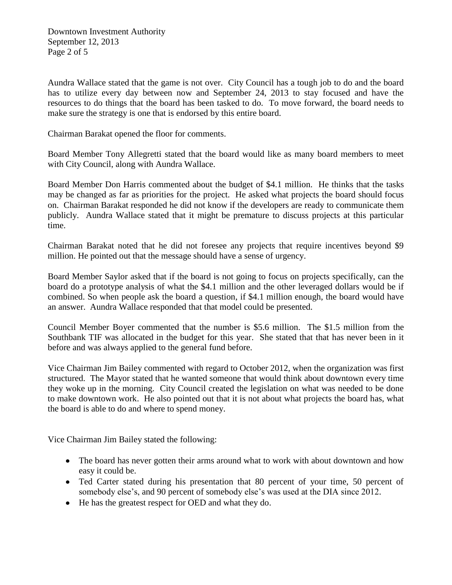Downtown Investment Authority September 12, 2013 Page 2 of 5

Aundra Wallace stated that the game is not over. City Council has a tough job to do and the board has to utilize every day between now and September 24, 2013 to stay focused and have the resources to do things that the board has been tasked to do. To move forward, the board needs to make sure the strategy is one that is endorsed by this entire board.

Chairman Barakat opened the floor for comments.

Board Member Tony Allegretti stated that the board would like as many board members to meet with City Council, along with Aundra Wallace.

Board Member Don Harris commented about the budget of \$4.1 million. He thinks that the tasks may be changed as far as priorities for the project. He asked what projects the board should focus on. Chairman Barakat responded he did not know if the developers are ready to communicate them publicly. Aundra Wallace stated that it might be premature to discuss projects at this particular time.

Chairman Barakat noted that he did not foresee any projects that require incentives beyond \$9 million. He pointed out that the message should have a sense of urgency.

Board Member Saylor asked that if the board is not going to focus on projects specifically, can the board do a prototype analysis of what the \$4.1 million and the other leveraged dollars would be if combined. So when people ask the board a question, if \$4.1 million enough, the board would have an answer. Aundra Wallace responded that that model could be presented.

Council Member Boyer commented that the number is \$5.6 million. The \$1.5 million from the Southbank TIF was allocated in the budget for this year. She stated that that has never been in it before and was always applied to the general fund before.

Vice Chairman Jim Bailey commented with regard to October 2012, when the organization was first structured. The Mayor stated that he wanted someone that would think about downtown every time they woke up in the morning. City Council created the legislation on what was needed to be done to make downtown work. He also pointed out that it is not about what projects the board has, what the board is able to do and where to spend money.

Vice Chairman Jim Bailey stated the following:

- The board has never gotten their arms around what to work with about downtown and how easy it could be.
- Ted Carter stated during his presentation that 80 percent of your time, 50 percent of somebody else's, and 90 percent of somebody else's was used at the DIA since 2012.
- He has the greatest respect for OED and what they do.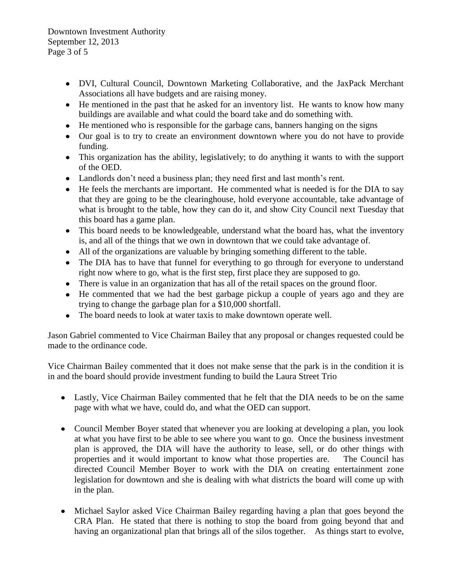Downtown Investment Authority September 12, 2013 Page 3 of 5

- DVI, Cultural Council, Downtown Marketing Collaborative, and the JaxPack Merchant Associations all have budgets and are raising money.
- He mentioned in the past that he asked for an inventory list. He wants to know how many buildings are available and what could the board take and do something with.
- He mentioned who is responsible for the garbage cans, banners hanging on the signs
- Our goal is to try to create an environment downtown where you do not have to provide funding.
- This organization has the ability, legislatively; to do anything it wants to with the support of the OED.
- Landlords don't need a business plan; they need first and last month's rent.
- He feels the merchants are important. He commented what is needed is for the DIA to say that they are going to be the clearinghouse, hold everyone accountable, take advantage of what is brought to the table, how they can do it, and show City Council next Tuesday that this board has a game plan.
- This board needs to be knowledgeable, understand what the board has, what the inventory is, and all of the things that we own in downtown that we could take advantage of.
- All of the organizations are valuable by bringing something different to the table.
- The DIA has to have that funnel for everything to go through for everyone to understand  $\bullet$ right now where to go, what is the first step, first place they are supposed to go.
- There is value in an organization that has all of the retail spaces on the ground floor.
- He commented that we had the best garbage pickup a couple of years ago and they are trying to change the garbage plan for a \$10,000 shortfall.
- The board needs to look at water taxis to make downtown operate well.  $\bullet$

Jason Gabriel commented to Vice Chairman Bailey that any proposal or changes requested could be made to the ordinance code.

Vice Chairman Bailey commented that it does not make sense that the park is in the condition it is in and the board should provide investment funding to build the Laura Street Trio

- Lastly, Vice Chairman Bailey commented that he felt that the DIA needs to be on the same page with what we have, could do, and what the OED can support.
- Council Member Boyer stated that whenever you are looking at developing a plan, you look at what you have first to be able to see where you want to go. Once the business investment plan is approved, the DIA will have the authority to lease, sell, or do other things with properties and it would important to know what those properties are. The Council has directed Council Member Boyer to work with the DIA on creating entertainment zone legislation for downtown and she is dealing with what districts the board will come up with in the plan.
- Michael Saylor asked Vice Chairman Bailey regarding having a plan that goes beyond the CRA Plan. He stated that there is nothing to stop the board from going beyond that and having an organizational plan that brings all of the silos together. As things start to evolve,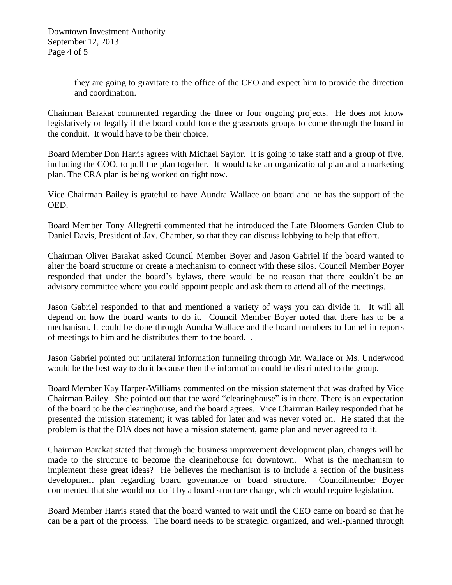they are going to gravitate to the office of the CEO and expect him to provide the direction and coordination.

Chairman Barakat commented regarding the three or four ongoing projects. He does not know legislatively or legally if the board could force the grassroots groups to come through the board in the conduit. It would have to be their choice.

Board Member Don Harris agrees with Michael Saylor. It is going to take staff and a group of five, including the COO, to pull the plan together. It would take an organizational plan and a marketing plan. The CRA plan is being worked on right now.

Vice Chairman Bailey is grateful to have Aundra Wallace on board and he has the support of the OED.

Board Member Tony Allegretti commented that he introduced the Late Bloomers Garden Club to Daniel Davis, President of Jax. Chamber, so that they can discuss lobbying to help that effort.

Chairman Oliver Barakat asked Council Member Boyer and Jason Gabriel if the board wanted to alter the board structure or create a mechanism to connect with these silos. Council Member Boyer responded that under the board's bylaws, there would be no reason that there couldn't be an advisory committee where you could appoint people and ask them to attend all of the meetings.

Jason Gabriel responded to that and mentioned a variety of ways you can divide it. It will all depend on how the board wants to do it. Council Member Boyer noted that there has to be a mechanism. It could be done through Aundra Wallace and the board members to funnel in reports of meetings to him and he distributes them to the board. .

Jason Gabriel pointed out unilateral information funneling through Mr. Wallace or Ms. Underwood would be the best way to do it because then the information could be distributed to the group.

Board Member Kay Harper-Williams commented on the mission statement that was drafted by Vice Chairman Bailey. She pointed out that the word "clearinghouse" is in there. There is an expectation of the board to be the clearinghouse, and the board agrees. Vice Chairman Bailey responded that he presented the mission statement; it was tabled for later and was never voted on. He stated that the problem is that the DIA does not have a mission statement, game plan and never agreed to it.

Chairman Barakat stated that through the business improvement development plan, changes will be made to the structure to become the clearinghouse for downtown. What is the mechanism to implement these great ideas? He believes the mechanism is to include a section of the business development plan regarding board governance or board structure. Councilmember Boyer commented that she would not do it by a board structure change, which would require legislation.

Board Member Harris stated that the board wanted to wait until the CEO came on board so that he can be a part of the process. The board needs to be strategic, organized, and well-planned through